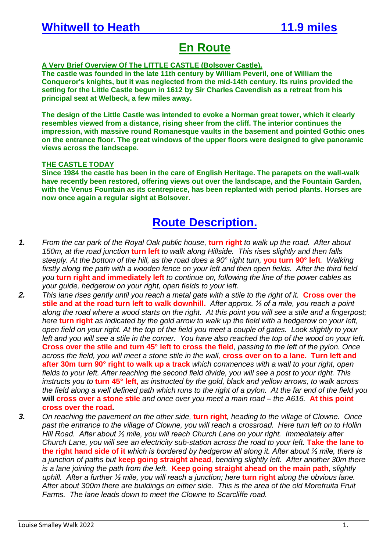## **En Route**

## **A Very Brief Overview Of The LITTLE CASTLE (Bolsover Castle).**

**The castle was founded in the late 11th century by William Peveril, one of William the Conqueror's knights, but it was neglected from the mid-14th century. Its ruins provided the setting for the Little Castle begun in 1612 by Sir Charles Cavendish as a retreat from his principal seat at Welbeck, a few miles away.**

**The design of the Little Castle was intended to evoke a Norman great tower, which it clearly resembles viewed from a distance, rising sheer from the cliff. The interior continues the impression, with massive round Romanesque vaults in the basement and pointed Gothic ones on the entrance floor. The great windows of the upper floors were designed to give panoramic views across the landscape.**

## **THE CASTLE TODAY**

**Since 1984 the castle has been in the care of English Heritage. The parapets on the wall-walk have recently been restored, offering views out over the landscape, and the Fountain Garden, with the Venus Fountain as its centrepiece, has been replanted with period plants. Horses are now once again a regular sight at Bolsover.**

## **Route Description.**

- *1. From the car park of the Royal Oak public house,* **turn right** *to walk up the road. After about 150m, at the road junction* **turn left** *to walk along Hillside. This rises slightly and then falls steeply. At the bottom of the hill, as the road does a 90° right turn,* **you turn 90° left***. Walking firstly along the path with a wooden fence on your left and then open fields. After the third field you* **turn right and immediately left** *to continue on, following the line of the power cables as your guide, hedgerow on your right, open fields to your left.*
- *2. This lane rises gently until you reach a metal gate with a stile to the right of it.* **Cross over the stile and at the road turn left to walk downhill.** *After approx. ⅓ of a mile, you reach a point along the road where a wood starts on the right. At this point you will see a stile and a fingerpost; here* **turn right** *as indicated by the gold arrow to walk up the field with a hedgerow on your left, open field on your right. At the top of the field you meet a couple of gates. Look slightly to your left and you will see a stile in the corner. You have also reached the top of the wood on your left***. Cross over the stile and turn 45° left to cross the field***, passing to the left of the pylon. Once across the field, you will meet a stone stile in the wall,* **cross over on to a lane. Turn left and after 30m turn 90° right to walk up a track** *which commences with a wall to your right, open fields to your left. After reaching the second field divide, you will see a post to your right. This instructs you to* **turn 45° left,** *as instructed by the gold, black and yellow arrows, to walk across the field along a well defined path which runs to the right of a pylon. At the far end of the field you*  **will cross over a stone stile** *and once over you meet a main road – the A616.* **At this point cross over the road.**
- *3. On reaching the pavement on the other side,* **turn right***, heading to the village of Clowne. Once past the entrance to the village of Clowne, you will reach a crossroad. Here turn left on to Hollin Hill Road. After about ⅓ mile, you will reach Church Lane on your right. Immediately after Church Lane, you will see an electricity sub-station across the road to your left.* **Take the lane to the right hand side of it** *which is bordered by hedgerow all along it. After about ⅓ mile, there is a junction of paths but* **keep going straight ahead***, bending slightly left. After another 30m there is a lane joining the path from the left.* **Keep going straight ahead on the main path***, slightly uphill. After a further ⅓ mile, you will reach a junction; here* **turn right** *along the obvious lane. After about 300m there are buildings on either side. This is the area of the old Morefruita Fruit Farms. The lane leads down to meet the Clowne to Scarcliffe road.*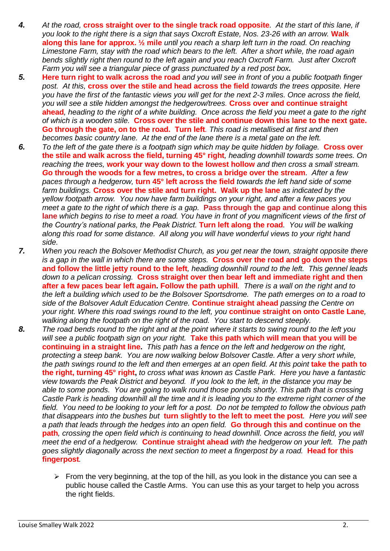- *4. At the road,* **cross straight over to the single track road opposite***. At the start of this lane, if you look to the right there is a sign that says Oxcroft Estate, Nos. 23-26 with an arrow.* **Walk along this lane for approx. ½ mile** *until you reach a sharp left turn in the road. On reaching Limestone Farm, stay with the road which bears to the left. After a short while, the road again bends slightly right then round to the left again and you reach Oxcroft Farm. Just after Oxcroft Farm you will see a triangular piece of grass punctuated by a red post box***.**
- *5.* **Here turn right to walk across the road** *and you will see in front of you a public footpath finger post. At this,* **cross over the stile and head across the field** *towards the trees opposite. Here you have the first of the fantastic views you will get for the next 2-3 miles. Once across the field, you will see a stile hidden amongst the hedgerow/trees.* **Cross over and continue straight ahead***, heading to the right of a white building. Once across the field you meet a gate to the right of which is a wooden stile.* **Cross over the stile and continue down this lane to the next gate. Go through the gate, on to the road. Turn left***. This road is metallised at first and then becomes basic country lane. At the end of the lane there is a metal gate on the left.*
- *6. To the left of the gate there is a footpath sign which may be quite hidden by foliage.* **Cross over the stile and walk across the field, turning 45° right***, heading downhill towards some trees. On reaching the trees,* **work your way down to the lowest hollow** *and then cross a small stream. G***o through the woods for a few metres, to cross a bridge over the stream***. After a few paces through a hedgerow,* **turn 45° left across the field** *towards the left hand side of some farm buildings.* **Cross over the stile and turn right. Walk up the lane** *as indicated by the yellow footpath arrow. You now have farm buildings on your right, and after a few paces you meet a gate to the right of which there is a gap.* **Pass through the gap and continue along this lane** *which begins to rise to meet a road. You have in front of you magnificent views of the first of the Country's national parks, the Peak District.* **Turn left along the road***. You will be walking along this road for some distance. All along you will have wonderful views to your right hand side.*
- *7. When you reach the Bolsover Methodist Church, as you get near the town, straight opposite there is a gap in the wall in which there are some steps.* **Cross over the road and go down the steps and follow the little jetty round to the left***, heading downhill round to the left. This gennel leads down to a pelican crossing.* **Cross straight over then bear left and immediate right and then after a few paces bear left again. Follow the path uphill***. There is a wall on the right and to the left a building which used to be the Bolsover Sportsdrome. The path emerges on to a road to side of the Bolsover Adult Education Centre.* **Continue straight ahead** *passing the Centre on your right. Where this road swings round to the left, you* **continue straight on onto Castle Lane***, walking along the footpath on the right of the road. You start to descend steeply.*
- *8. The road bends round to the right and at the point where it starts to swing round to the left you will see a public footpath sign on your right.* **Take this path which will mean that you will be continuing in a straight line.** *This path has a fence on the left and hedgerow on the right, protecting a steep bank. You are now walking below Bolsover Castle. After a very short while, the path swings round to the left and then emerges at an open field. At this point take the path to* **the right, turning 45° right,** *to cross what was known as Castle Park. Here you have a fantastic view towards the Peak District and beyond. If you look to the left, in the distance you may be able to some ponds. You are going to walk round those ponds shortly. This path that is crossing Castle Park is heading downhill all the time and it is leading you to the extreme right corner of the field. You need to be looking to your left for a post. Do not be tempted to follow the obvious path that disappears into the bushes but* **turn slightly to the left to meet the post***. Here you will see a path that leads through the hedges into an open field.* **Go through this and continue on the path***, crossing the open field which is continuing to head downhill. Once across the field, you will meet the end of a hedgerow.* **Continue straight ahead** *with the hedgerow on your left. The path goes slightly diagonally across the next section to meet a fingerpost by a road.* Head for this **fingerpost***.*
	- $\triangleright$  From the very beginning, at the top of the hill, as you look in the distance you can see a public house called the Castle Arms. You can use this as your target to help you across the right fields.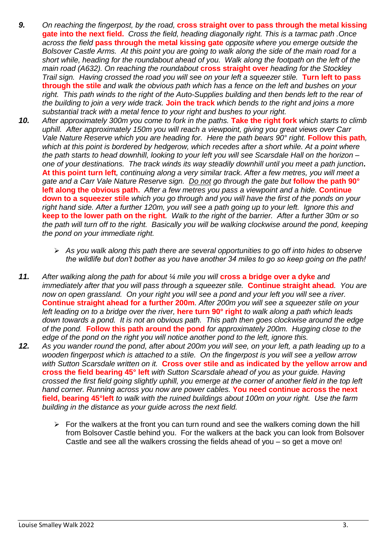- *9. On reaching the fingerpost, by the road,* **cross straight over to pass through the metal kissing gate into the next field.** *Cross the field, heading diagonally right. This is a tarmac path .Once across the field* **pass through the metal kissing gate** *opposite where you emerge outside the Bolsover Castle Arms. At this point you are going to walk along the side of the main road for a short while, heading for the roundabout ahead of you. Walk along the footpath on the left of the main road (A632). On reaching the roundabout* **cross straight over** *heading for the Stockley Trail sign. Having crossed the road you will see on your left a squeezer stile.* **Turn left to pass through the stile** *and walk the obvious path which has a fence on the left and bushes on your right. This path winds to the right of the Auto-Supplies building and then bends left to the rear of the building to join a very wide track.* **Join the track** *which bends to the right and joins a more substantial track with a metal fence to your right and bushes to your right.*
- *10. After approximately 300m you come to fork in the paths.* **Take the right fork** *which starts to climb uphill. After approximately 150m you will reach a viewpoint, giving you great views over Carr Vale Nature Reserve which you are heading for. Here the path bears 90° right.* **Follow this path**, which at this point is bordered by hedgerow, which recedes after a short while. At a point where *the path starts to head downhill, looking to your left you will see Scarsdale Hall on the horizon – one of your destinations. The track winds its way steadily downhill until you meet a path junction***. At this point turn left***, continuing along a very similar track. After a few metres, you will meet a gate and a Carr Vale Nature Reserve sign. Do not go through the gate but* **follow the path 90° left along the obvious path.** *After a few metres you pass a viewpoint and a hide.* **Continue down to a squeezer stile** *which you go through and you will have the first of the ponds on your right hand side. After a further 120m, you will see a path going up to your left. Ignore this and*  **keep to the lower path on the right***. Walk to the right of the barrier. After a further 30m or so the path will turn off to the right. Basically you will be walking clockwise around the pond, keeping the pond on your immediate right.*
	- ➢ *As you walk along this path there are several opportunities to go off into hides to observe the wildlife but don't bother as you have another 34 miles to go so keep going on the path!*
- **11.** After walking along the path for about 1/4 mile you will **cross a bridge over a dyke** and *immediately after that you will pass through a squeezer stile.* **Continue straight ahead***. You are now on open grassland. On your right you will see a pond and your left you will see a river.*  **Continue straight ahead for a further 200m***. After 200m you will see a squeezer stile on your left leading on to a bridge over the river,* **here turn 90° right** *to walk along a path which leads down towards a pond. It is not an obvious path. This path then goes clockwise around the edge of the pond.* **Follow this path around the pond** *for approximately 200m. Hugging close to the edge of the pond on the right you will notice another pond to the left, ignore this.*
- *12. As you wander round the pond, after about 200m you will see, on your left, a path leading up to a wooden fingerpost which is attached to a stile. On the fingerpost is you will see a yellow arrow with Sutton Scarsdale written on it.* **Cross over stile and as indicated by the yellow arrow and cross the field bearing 45° left** *with Sutton Scarsdale ahead of you as your guide. Having crossed the first field going slightly uphill, you emerge at the corner of another field in the top left hand corner. Running across you now are power cables.* **You need continue across the next field, bearing 45°left** *to walk with the ruined buildings about 100m on your right. Use the farm building in the distance as your guide across the next field.*
	- $\triangleright$  For the walkers at the front you can turn round and see the walkers coming down the hill from Bolsover Castle behind you. For the walkers at the back you can look from Bolsover Castle and see all the walkers crossing the fields ahead of you – so get a move on!